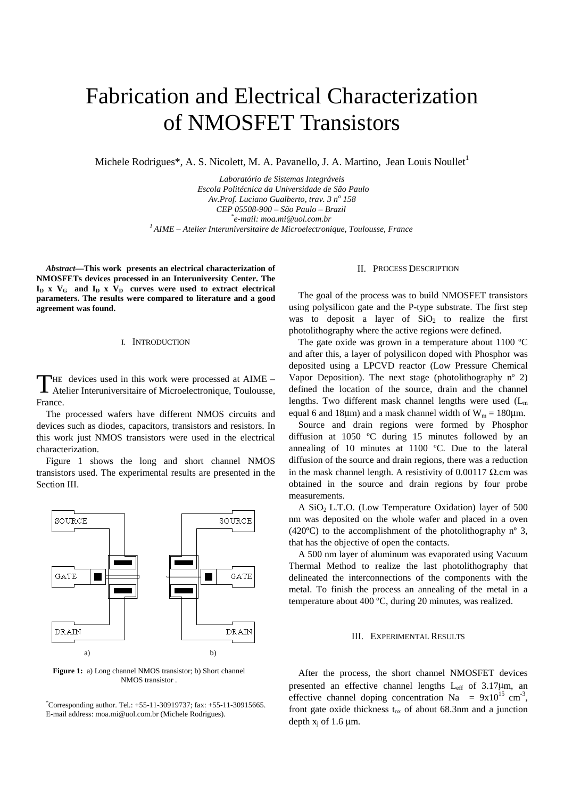# Fabrication and Electrical Characterization of NMOSFET Transistors

Michele Rodrigues\*, A. S. Nicolett, M. A. Pavanello, J. A. Martino, Jean Louis Noullet<sup>1</sup>

*Laboratório de Sistemas Integráveis Escola Politécnica da Universidade de São Paulo Av.Prof. Luciano Gualberto, trav. 3 n<sup>o</sup> 158 CEP 05508-900 – São Paulo – Brazil \** <sup>1</sup> AIME – Atelier Interuniversitaire de Microelectronique, Toulousse, France

*Abstract***—This work presents an electrical characterization of NMOSFETs devices processed in an Interuniversity Center. The**  $I_D$  x  $V_G$  and  $I_D$  x  $V_D$  curves were used to extract electrical **parameters. The results were compared to literature and a good agreement was found.**

## I. INTRODUCTION

HE devices used in this work were processed at AIME – Atelier Interuniversitaire of Microelectronique, Toulousse, France. T

The processed wafers have different NMOS circuits and devices such as diodes, capacitors, transistors and resistors. In this work just NMOS transistors were used in the electrical characterization.

Figure 1 shows the long and short channel NMOS transistors used. The experimental results are presented in the Section III.



**Figure 1:** a) Long channel NMOS transistor; b) Short channel NMOS transistor .

\* Corresponding author. Tel.: +55-11-30919737; fax: +55-11-30915665. E-mail address: moa.mi@uol.com.br (Michele Rodrigues).

## II. PROCESS DESCRIPTION

The goal of the process was to build NMOSFET transistors using polysilicon gate and the P-type substrate. The first step was to deposit a layer of  $SiO<sub>2</sub>$  to realize the first photolithography where the active regions were defined.

The gate oxide was grown in a temperature about 1100 ºC and after this, a layer of polysilicon doped with Phosphor was deposited using a LPCVD reactor (Low Pressure Chemical Vapor Deposition). The next stage (photolithography  $n^{\circ}$  2) defined the location of the source, drain and the channel lengths. Two different mask channel lengths were used  $(L_m)$ equal 6 and 18µm) and a mask channel width of  $W_m = 180$ µm.

Source and drain regions were formed by Phosphor diffusion at 1050 ºC during 15 minutes followed by an annealing of 10 minutes at 1100 ºC. Due to the lateral diffusion of the source and drain regions, there was a reduction in the mask channel length. A resistivity of 0.00117  $Ω$ .cm was obtained in the source and drain regions by four probe measurements.

A  $SiO<sub>2</sub> L.T.O.$  (Low Temperature Oxidation) layer of 500 nm was deposited on the whole wafer and placed in a oven (420 $^{\circ}$ C) to the accomplishment of the photolithography n<sup>o</sup> 3, that has the objective of open the contacts.

A 500 nm layer of aluminum was evaporated using Vacuum Thermal Method to realize the last photolithography that delineated the interconnections of the components with the metal. To finish the process an annealing of the metal in a temperature about 400 ºC, during 20 minutes, was realized.

### III. EXPERIMENTAL RESULTS

After the process, the short channel NMOSFET devices presented an effective channel lengths  $L_{eff}$  of 3.17 $\mu$ m, an effective channel doping concentration Na =  $9x10^{15}$  cm<sup>-3</sup>, front gate oxide thickness  $t_{ox}$  of about 68.3nm and a junction depth  $x_i$  of 1.6  $\mu$ m.